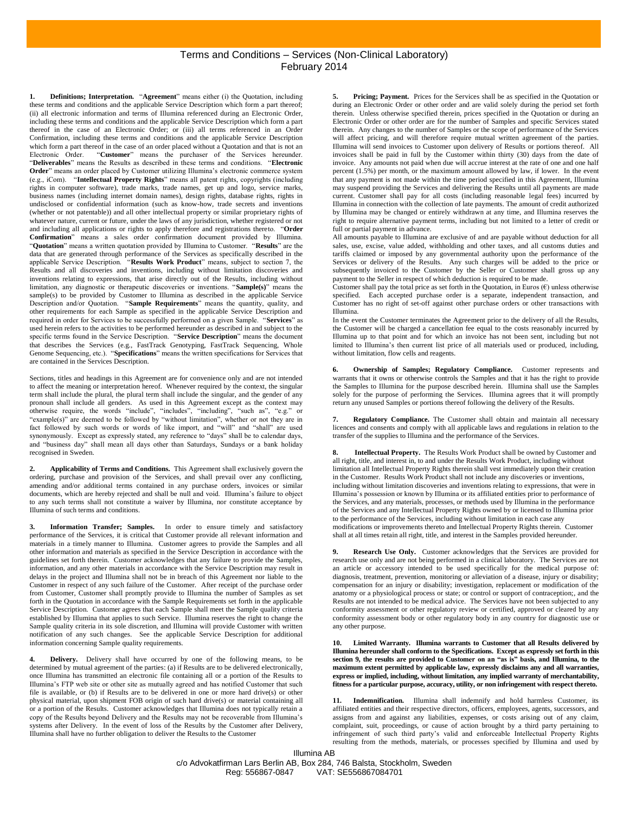## Illumina AB Terms and Conditions – Services (Non-Clinical Laboratory) February 2014

**1. Definitions; Interpretation.** "**Agreement**" means either (i) the Quotation, including these terms and conditions and the applicable Service Description which form a part thereof; (ii) all electronic information and terms of Illumina referenced during an Electronic Order, including these terms and conditions and the applicable Service Description which form a part thereof in the case of an Electronic Order; or (iii) all terms referenced in an Order Confirmation, including these terms and conditions and the applicable Service Description which form a part thereof in the case of an order placed without a Quotation and that is not an Electronic Order. "**Customer**" means the purchaser of the Services hereunder. "**Deliverables**" means the Results as described in these terms and conditions. "**Electronic Order**" means an order placed by Customer utilizing Illumina's electronic commerce system (e.g., iCom). "**Intellectual Property Rights**" means all patent rights, copyrights (including rights in computer software), trade marks, trade names, get up and logo, service marks, business names (including internet domain names), design rights, database rights, rights in undisclosed or confidential information (such as know-how, trade secrets and inventions (whether or not patentable)) and all other intellectual property or similar proprietary rights of whatever nature, current or future, under the laws of any jurisdiction, whether registered or not and including all applications or rights to apply therefore and registrations thereto. "**Order Confirmation**" means a sales order confirmation document provided by Illumina. "**Quotation**" means a written quotation provided by Illumina to Customer. "**Results**" are the data that are generated through performance of the Services as specifically described in the applicable Service Description. "**Results Work Product**" means, subject to section 7, the Results and all discoveries and inventions, including without limitation discoveries and inventions relating to expressions, that arise directly out of the Results, including without limitation, any diagnostic or therapeutic discoveries or inventions. "**Sample(s)**" means the sample(s) to be provided by Customer to Illumina as described in the applicable Service Description and/or Quotation. "**Sample Requirements**" means the quantity, quality, and other requirements for each Sample as specified in the applicable Service Description and required in order for Services to be successfully performed on a given Sample. "**Services**" as used herein refers to the activities to be performed hereunder as described in and subject to the specific terms found in the Service Description. "**Service Description**" means the document that describes the Services (e.g., FastTrack Genotyping, FastTrack Sequencing, Whole Genome Sequencing, etc.). "**Specifications**" means the written specifications for Services that are contained in the Services Description.

Sections, titles and headings in this Agreement are for convenience only and are not intended to affect the meaning or interpretation hereof. Whenever required by the context, the singular term shall include the plural, the plural term shall include the singular, and the gender of any pronoun shall include all genders. As used in this Agreement except as the context may otherwise require, the words "include", "includes", "including", "such as", "e.g." or "example(s)" are deemed to be followed by "without limitation", whether or not they are in fact followed by such words or words of like import, and "will" and "shall" are used synonymously. Except as expressly stated, any reference to "days" shall be to calendar days, and "business day" shall mean all days other than Saturdays, Sundays or a bank holiday recognised in Sweden.

<span id="page-0-1"></span>**2. Applicability of Terms and Conditions.** This Agreement shall exclusively govern the ordering, purchase and provision of the Services, and shall prevail over any conflicting, amending and/or additional terms contained in any purchase orders, invoices or similar documents, which are hereby rejected and shall be null and void. Illumina's failure to object to any such terms shall not constitute a waiver by Illumina, nor constitute acceptance by Illumina of such terms and conditions.

**3. Information Transfer; Samples.** In order to ensure timely and satisfactory performance of the Services, it is critical that Customer provide all relevant information and materials in a timely manner to Illumina. Customer agrees to provide the Samples and all other information and materials as specified in the Service Description in accordance with the guidelines set forth therein. Customer acknowledges that any failure to provide the Samples, information, and any other materials in accordance with the Service Description may result in delays in the project and Illumina shall not be in breach of this Agreement nor liable to the Customer in respect of any such failure of the Customer. After receipt of the purchase order from Customer, Customer shall promptly provide to Illumina the number of Samples as set forth in the Quotation in accordance with the Sample Requirements set forth in the applicable Service Description. Customer agrees that each Sample shall meet the Sample quality criteria established by Illumina that applies to such Service. Illumina reserves the right to change the Sample quality criteria in its sole discretion, and Illumina will provide Customer with written notification of any such changes. See the applicable Service Description for additional information concerning Sample quality requirements.

**4. Delivery.** Delivery shall have occurred by one of the following means, to be determined by mutual agreement of the parties: (a) if Results are to be delivered electronically, once Illumina has transmitted an electronic file containing all or a portion of the Results to Illumina's FTP web site or other site as mutually agreed and has notified Customer that such file is available, or (b) if Results are to be delivered in one or more hard drive(s) or other physical material, upon shipment FOB origin of such hard drive(s) or material containing all or a portion of the Results. Customer acknowledges that Illumina does not typically retain a copy of the Results beyond Delivery and the Results may not be recoverable from Illumina's systems after Delivery. In the event of loss of the Results by the Customer after Delivery, Illumina shall have no further obligation to deliver the Results to the Customer

<span id="page-0-2"></span>**5. Pricing; Payment.** Prices for the Services shall be as specified in the Quotation or during an Electronic Order or other order and are valid solely during the period set forth therein. Unless otherwise specified therein, prices specified in the Quotation or during an Electronic Order or other order are for the number of Samples and specific Services stated therein. Any changes to the number of Samples or the scope of performance of the Services will affect pricing, and will therefore require mutual written agreement of the parties. Illumina will send invoices to Customer upon delivery of Results or portions thereof. All invoices shall be paid in full by the Customer within thirty (30) days from the date of invoice. Any amounts not paid when due will accrue interest at the rate of one and one half percent (1.5%) per month, or the maximum amount allowed by law, if lower. In the event that any payment is not made within the time period specified in this Agreement, Illumina may suspend providing the Services and delivering the Results until all payments are made current. Customer shall pay for all costs (including reasonable legal fees) incurred by Illumina in connection with the collection of late payments. The amount of credit authorized by Illumina may be changed or entirely withdrawn at any time, and Illumina reserves the right to require alternative payment terms, including but not limited to a letter of credit or full or partial payment in advance.

All amounts payable to Illumina are exclusive of and are payable without deduction for all sales, use, excise, value added, withholding and other taxes, and all customs duties and tariffs claimed or imposed by any governmental authority upon the performance of the Services or delivery of the Results. Any such charges will be added to the price or subsequently invoiced to the Customer by the Seller or Customer shall gross up any payment to the Seller in respect of which deduction is required to be made.

Customer shall pay the total price as set forth in the Quotation, in Euros  $(\epsilon)$  unless otherwise specified. Each accepted purchase order is a separate, independent transaction, and Customer has no right of set-off against other purchase orders or other transactions with Illumina.

In the event the Customer terminates the Agreement prior to the delivery of all the Results, the Customer will be charged a cancellation fee equal to the costs reasonably incurred by Illumina up to that point and for which an invoice has not been sent, including but not limited to Illumina's then current list price of all materials used or produced, including, without limitation, flow cells and reagents.

**6. Ownership of Samples; Regulatory Compliance.** Customer represents and warrants that it owns or otherwise controls the Samples and that it has the right to provide the Samples to Illumina for the purpose described herein. Illumina shall use the Samples solely for the purpose of performing the Services. Illumina agrees that it will promptly return any unused Samples or portions thereof following the delivery of the Results.

**7. Regulatory Compliance.** The Customer shall obtain and maintain all necessary licences and consents and comply with all applicable laws and regulations in relation to the transfer of the supplies to Illumina and the performance of the Services.

**8. Intellectual Property.** The Results Work Product shall be owned by Customer and all right, title, and interest in, to and under the Results Work Product, including without limitation all Intellectual Property Rights therein shall vest immediately upon their creation in the Customer. Results Work Product shall not include any discoveries or inventions, including without limitation discoveries and inventions relating to expressions, that were in Illumina's possession or known by Illumina or its affiliated entities prior to performance of the Services, and any materials, processes, or methods used by Illumina in the performance of the Services and any Intellectual Property Rights owned by or licensed to Illumina prior to the performance of the Services, including without limitation in each case any modifications or improvements thereto and Intellectual Property Rights therein. Customer shall at all times retain all right, title, and interest in the Samples provided hereunder.

**9. Research Use Only.** Customer acknowledges that the Services are provided for research use only and are not being performed in a clinical laboratory. The Services are not an article or accessory intended to be used specifically for the medical purpose of: diagnosis, treatment, prevention, monitoring or alleviation of a disease, injury or disability; compensation for an injury or disability; investigation, replacement or modification of the anatomy or a physiological process or state; or control or support of contraception;, and the Results are not intended to be medical advice. The Services have not been subjected to any conformity assessment or other regulatory review or certified, approved or cleared by any conformity assessment body or other regulatory body in any country for diagnostic use or any other purpose.

<span id="page-0-3"></span>**10. Limited Warranty. Illumina warrants to Customer that all Results delivered by Illumina hereunder shall conform to the Specifications. Except as expressly set forth in this section 9, the results are provided to Customer on an "as is" basis, and Illumina, to the maximum extent permitted by applicable law, expressly disclaims any and all warranties, express or implied, including, without limitation, any implied warranty of merchantability, fitness for a particular purpose, accuracy, utility, or non infringement with respect thereto.**

<span id="page-0-0"></span>**11. Indemnification.** Illumina shall indemnify and hold harmless Customer, its affiliated entities and their respective directors, officers, employees, agents, successors, and assigns from and against any liabilities, expenses, or costs arising out of any claim, complaint, suit, proceedings, or cause of action brought by a third party pertaining to infringement of such third party's valid and enforceable Intellectual Property Rights resulting from the methods, materials, or processes specified by Illumina and used by

Illumina AB c/o Advokatfirman Lars Berlin AB, Box 284, 746 Balsta, Stockholm, Sweden Reg: 556867-0847 VAT: SE556867084701